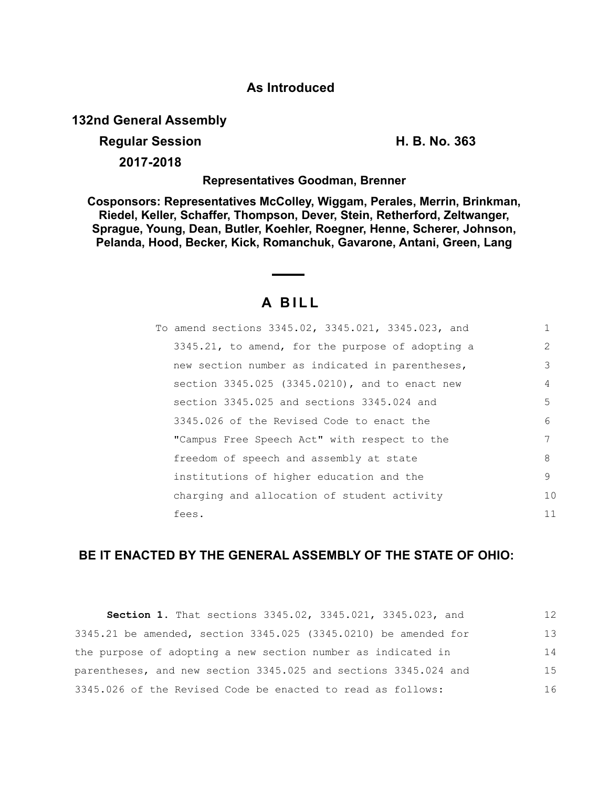## **As Introduced**

**132nd General Assembly**

### **Regular Session H. B. No. 363**

**2017-2018**

#### **Representatives Goodman, Brenner**

**Cosponsors: Representatives McColley, Wiggam, Perales, Merrin, Brinkman, Riedel, Keller, Schaffer, Thompson, Dever, Stein, Retherford, Zeltwanger, Sprague, Young, Dean, Butler, Koehler, Roegner, Henne, Scherer, Johnson, Pelanda, Hood, Becker, Kick, Romanchuk, Gavarone, Antani, Green, Lang**

# **A B I L L**

| To amend sections 3345.02, 3345.021, 3345.023, and |    |
|----------------------------------------------------|----|
| 3345.21, to amend, for the purpose of adopting a   | 2  |
| new section number as indicated in parentheses,    | 3  |
| section 3345.025 (3345.0210), and to enact new     | 4  |
| section 3345.025 and sections 3345.024 and         | 5  |
| 3345.026 of the Revised Code to enact the          | 6  |
| "Campus Free Speech Act" with respect to the       | 7  |
| freedom of speech and assembly at state            | 8  |
| institutions of higher education and the           | 9  |
| charging and allocation of student activity        | 10 |
| fees.                                              | 11 |

## **BE IT ENACTED BY THE GENERAL ASSEMBLY OF THE STATE OF OHIO:**

**Section 1.** That sections 3345.02, 3345.021, 3345.023, and 3345.21 be amended, section 3345.025 (3345.0210) be amended for the purpose of adopting a new section number as indicated in parentheses, and new section 3345.025 and sections 3345.024 and 3345.026 of the Revised Code be enacted to read as follows: 12 13 14 15 16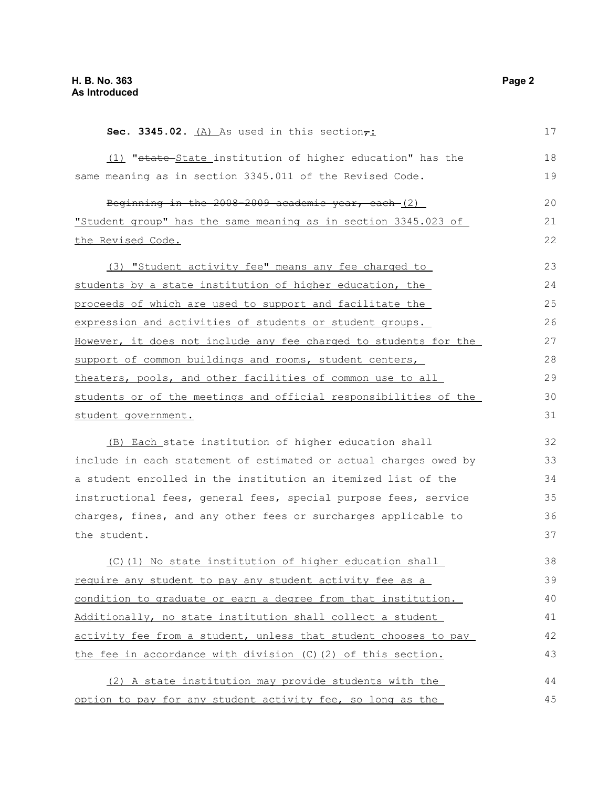| Sec. 3345.02. $(A)$ As used in this section $\tau$ :             | 17 |
|------------------------------------------------------------------|----|
| (1) "state-State institution of higher education" has the        | 18 |
| same meaning as in section 3345.011 of the Revised Code.         | 19 |
| Beginning in the 2008-2009 academic year, each-(2)               | 20 |
| "Student group" has the same meaning as in section 3345.023 of   | 21 |
| the Revised Code.                                                | 22 |
| (3) "Student activity fee" means any fee charged to              | 23 |
| students by a state institution of higher education, the         | 24 |
| proceeds of which are used to support and facilitate the         | 25 |
| expression and activities of students or student groups.         | 26 |
| However, it does not include any fee charged to students for the | 27 |
| support of common buildings and rooms, student centers,          | 28 |
| theaters, pools, and other facilities of common use to all       | 29 |
| students or of the meetings and official responsibilities of the | 30 |
| student government.                                              | 31 |
| (B) Each state institution of higher education shall             | 32 |
| include in each statement of estimated or actual charges owed by | 33 |
| a student enrolled in the institution an itemized list of the    | 34 |
| instructional fees, general fees, special purpose fees, service  | 35 |
| charges, fines, and any other fees or surcharges applicable to   | 36 |
| the student.                                                     | 37 |
| (C)(1) No state institution of higher education shall            | 38 |
| require any student to pay any student activity fee as a         | 39 |
| condition to graduate or earn a degree from that institution.    | 40 |
| Additionally, no state institution shall collect a student       | 41 |
| activity fee from a student, unless that student chooses to pay  | 42 |
| the fee in accordance with division (C) (2) of this section.     | 43 |
| (2) A state institution may provide students with the            | 44 |
| option to pay for any student activity fee, so long as the       | 45 |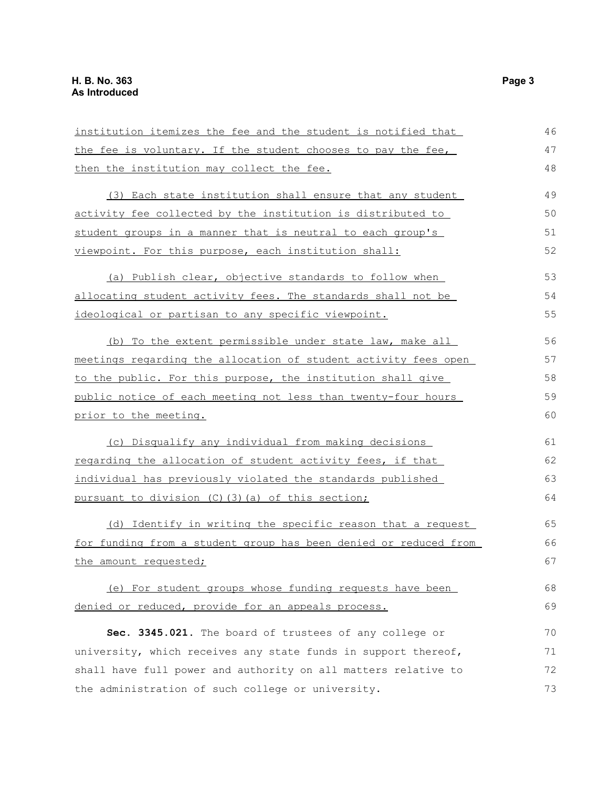| institution itemizes the fee and the student is notified that    | 46 |
|------------------------------------------------------------------|----|
| the fee is voluntary. If the student chooses to pay the fee,     | 47 |
| then the institution may collect the fee.                        | 48 |
| (3) Each state institution shall ensure that any student         | 49 |
| activity fee collected by the institution is distributed to      | 50 |
| student groups in a manner that is neutral to each group's       | 51 |
| viewpoint. For this purpose, each institution shall:             | 52 |
| (a) Publish clear, objective standards to follow when            | 53 |
| allocating student activity fees. The standards shall not be     | 54 |
| ideological or partisan to any specific viewpoint.               | 55 |
| (b) To the extent permissible under state law, make all          | 56 |
| meetings regarding the allocation of student activity fees open  | 57 |
| to the public. For this purpose, the institution shall give      | 58 |
| public notice of each meeting not less than twenty-four hours    | 59 |
| prior to the meeting.                                            | 60 |
| (c) Disqualify any individual from making decisions              | 61 |
| regarding the allocation of student activity fees, if that       | 62 |
| individual has previously violated the standards published       | 63 |
| pursuant to division (C) (3) (a) of this section;                | 64 |
| (d) Identify in writing the specific reason that a request       | 65 |
| for funding from a student group has been denied or reduced from | 66 |
| the amount requested;                                            | 67 |
| (e) For student groups whose funding requests have been          | 68 |
| denied or reduced, provide for an appeals process.               | 69 |
| Sec. 3345.021. The board of trustees of any college or           | 70 |
| university, which receives any state funds in support thereof,   | 71 |
| shall have full power and authority on all matters relative to   | 72 |
| the administration of such college or university.                | 73 |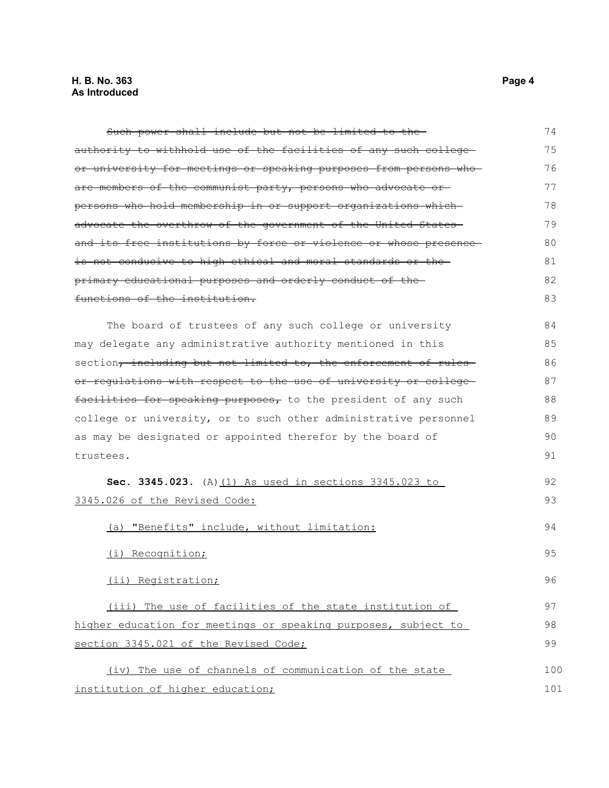Such power shall include but not be limited to the authority to withhold use of the facilities of any such college or university for meetings or speaking purposes from persons who are members of the communist party, persons who advocate or persons who hold membership in or support organizations which advocate the overthrow of the government of the United States and its free institutions by force or violence or whose presence is not conducive to high ethical and moral standards or the primary educational purposes and orderly conduct of the functions of the institution. The board of trustees of any such college or university may delegate any administrative authority mentioned in this section, including but not limited to, the enforcement of rulesor regulations with respect to the use of university or college facilities for speaking purposes, to the president of any such college or university, or to such other administrative personnel as may be designated or appointed therefor by the board of trustees. **Sec. 3345.023.** (A) (1) As used in sections 3345.023 to 3345.026 of the Revised Code: (a) "Benefits" include, without limitation: (i) Recognition; (ii) Registration; (iii) The use of facilities of the state institution of higher education for meetings or speaking purposes, subject to section 3345.021 of the Revised Code; (iv) The use of channels of communication of the state institution of higher education; 74 75 76 77 78 79 80 81 82 83 84 85 86 87 88 89 90 91 92 93 94 95 96 97 98 99 100 101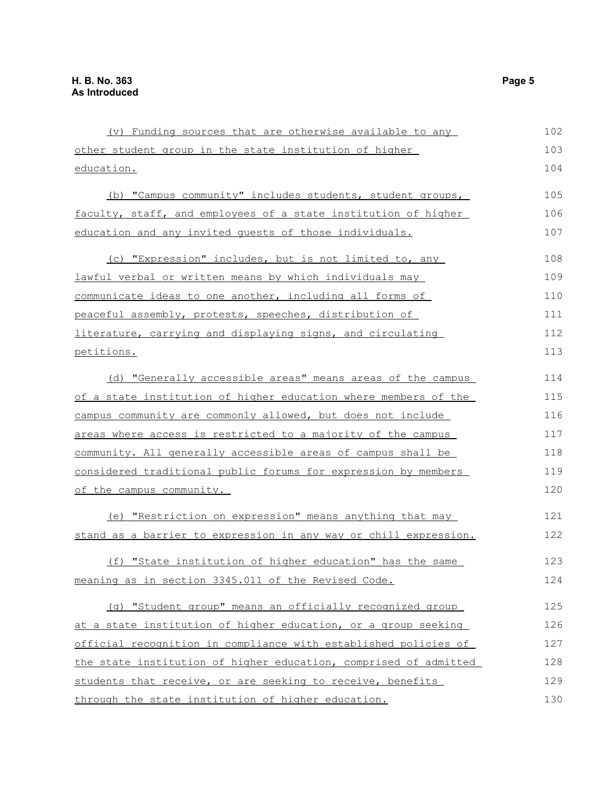| (v) Funding sources that are otherwise available to any          | 102 |
|------------------------------------------------------------------|-----|
| other student group in the state institution of higher           | 103 |
| education.                                                       | 104 |
| (b) "Campus community" includes students, student groups,        | 105 |
| faculty, staff, and employees of a state institution of higher   | 106 |
| education and any invited quests of those individuals.           | 107 |
| (c) "Expression" includes, but is not limited to, any            | 108 |
| lawful verbal or written means by which individuals may          | 109 |
| communicate ideas to one another, including all forms of         | 110 |
| peaceful assembly, protests, speeches, distribution of           | 111 |
| literature, carrying and displaying signs, and circulating       | 112 |
| petitions.                                                       | 113 |
| (d) "Generally accessible areas" means areas of the campus       | 114 |
| of a state institution of higher education where members of the  | 115 |
| campus community are commonly allowed, but does not include      | 116 |
| areas where access is restricted to a majority of the campus     | 117 |
| community. All generally accessible areas of campus shall be     | 118 |
| considered traditional public forums for expression by members   | 119 |
| of the campus community.                                         | 120 |
| (e) "Restriction on expression" means anything that may          | 121 |
| stand as a barrier to expression in any way or chill expression. | 122 |
| (f) "State institution of higher education" has the same         | 123 |
| meaning as in section 3345.011 of the Revised Code.              | 124 |
| (g) "Student group" means an officially recognized group         | 125 |
| at a state institution of higher education, or a group seeking   | 126 |
| official recognition in compliance with established policies of  | 127 |
| the state institution of higher education, comprised of admitted | 128 |
| students that receive, or are seeking to receive, benefits       | 129 |
| through the state institution of higher education.               | 130 |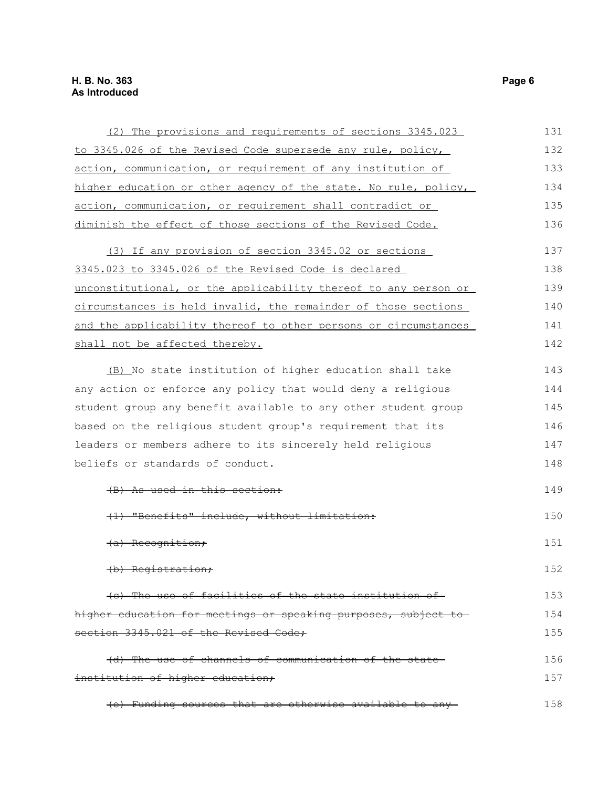### **H. B. No. 363 Page 6 As Introduced**

| (2) The provisions and requirements of sections 3345.023        | 131 |
|-----------------------------------------------------------------|-----|
| to 3345.026 of the Revised Code supersede any rule, policy,     | 132 |
| action, communication, or requirement of any institution of     | 133 |
| higher education or other agency of the state. No rule, policy, | 134 |
| action, communication, or requirement shall contradict or       | 135 |
| diminish the effect of those sections of the Revised Code.      | 136 |
| (3) If any provision of section 3345.02 or sections             | 137 |
| 3345.023 to 3345.026 of the Revised Code is declared            | 138 |
| unconstitutional, or the applicability thereof to any person or | 139 |
| circumstances is held invalid, the remainder of those sections  | 140 |
| and the applicability thereof to other persons or circumstances | 141 |
| shall not be affected thereby.                                  | 142 |
| (B) No state institution of higher education shall take         | 143 |
| any action or enforce any policy that would deny a religious    | 144 |
| student group any benefit available to any other student group  | 145 |
| based on the religious student group's requirement that its     | 146 |
| leaders or members adhere to its sincerely held religious       | 147 |
| beliefs or standards of conduct.                                | 148 |
| As used in this section:                                        | 149 |
| (1) "Benefits" include, without limitat                         | 150 |
| <del>(a) Recognition;</del>                                     | 151 |
| (b) Registration;                                               | 152 |
| (e) The use of facilities of the state institution of           | 153 |
| higher education for meetings or speaking purposes, subject to  | 154 |
| section 3345.021 of the Revised Code;                           | 155 |
| (d) The use of channels of communication of the state-          | 156 |
| institution of higher education;                                | 157 |
| (e) Funding sources that are otherwise available to any-        | 158 |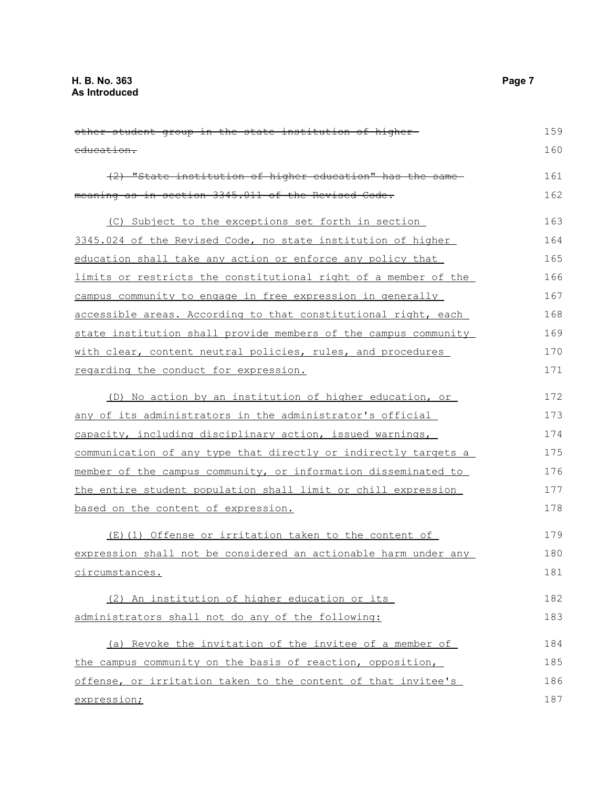| other student group in the state institution of higher-         | 159 |
|-----------------------------------------------------------------|-----|
| education.                                                      | 160 |
| (2) "State institution of higher education" has the same-       | 161 |
| meaning as in section 3345.011 of the Revised Code.             | 162 |
| (C) Subject to the exceptions set forth in section              | 163 |
| 3345.024 of the Revised Code, no state institution of higher    | 164 |
| education shall take any action or enforce any policy that      | 165 |
| limits or restricts the constitutional right of a member of the | 166 |
| campus community to engage in free expression in generally      | 167 |
| accessible areas. According to that constitutional right, each  | 168 |
| state institution shall provide members of the campus community | 169 |
| with clear, content neutral policies, rules, and procedures     | 170 |
| regarding the conduct for expression.                           | 171 |
| (D) No action by an institution of higher education, or         | 172 |
| any of its administrators in the administrator's official       | 173 |
| capacity, including disciplinary action, issued warnings,       | 174 |
| communication of any type that directly or indirectly targets a | 175 |
| member of the campus community, or information disseminated to  | 176 |
| the entire student population shall limit or chill expression   | 177 |
| based on the content of expression.                             | 178 |
| (E)(1) Offense or irritation taken to the content of            | 179 |
| expression shall not be considered an actionable harm under any | 180 |
| circumstances.                                                  | 181 |
| (2) An institution of higher education or its                   | 182 |
| administrators shall not do any of the following:               | 183 |
| (a) Revoke the invitation of the invitee of a member of         | 184 |
| the campus community on the basis of reaction, opposition,      | 185 |
| offense, or irritation taken to the content of that invitee's   | 186 |
| expression;                                                     | 187 |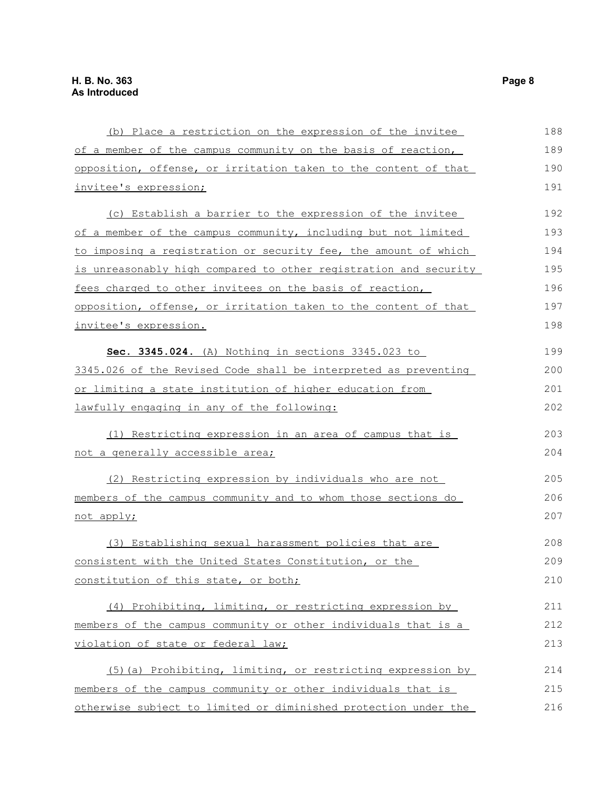| (b) Place a restriction on the expression of the invitee         | 188 |
|------------------------------------------------------------------|-----|
| of a member of the campus community on the basis of reaction,    | 189 |
| opposition, offense, or irritation taken to the content of that  | 190 |
| invitee's expression;                                            | 191 |
| (c) Establish a barrier to the expression of the invitee         | 192 |
| of a member of the campus community, including but not limited   | 193 |
| to imposing a registration or security fee, the amount of which  | 194 |
| is unreasonably high compared to other registration and security | 195 |
| fees charged to other invitees on the basis of reaction,         | 196 |
| opposition, offense, or irritation taken to the content of that  | 197 |
| invitee's expression.                                            | 198 |
| Sec. 3345.024. (A) Nothing in sections 3345.023 to               | 199 |
| 3345.026 of the Revised Code shall be interpreted as preventing  | 200 |
| or limiting a state institution of higher education from         | 201 |
| lawfully engaging in any of the following:                       | 202 |
| (1) Restricting expression in an area of campus that is          | 203 |
| not a generally accessible area;                                 | 204 |
| (2) Restricting expression by individuals who are not            | 205 |
| members of the campus community and to whom those sections do    | 206 |
| not apply;                                                       | 207 |
| (3) Establishing sexual harassment policies that are             | 208 |
| consistent with the United States Constitution, or the           | 209 |
| constitution of this state, or both;                             | 210 |
| (4) Prohibiting, limiting, or restricting expression by          | 211 |
| members of the campus community or other individuals that is a   | 212 |
| violation of state or federal law;                               | 213 |
| (5) (a) Prohibiting, limiting, or restricting expression by      | 214 |
| members of the campus community or other individuals that is     | 215 |
| otherwise subject to limited or diminished protection under the  | 216 |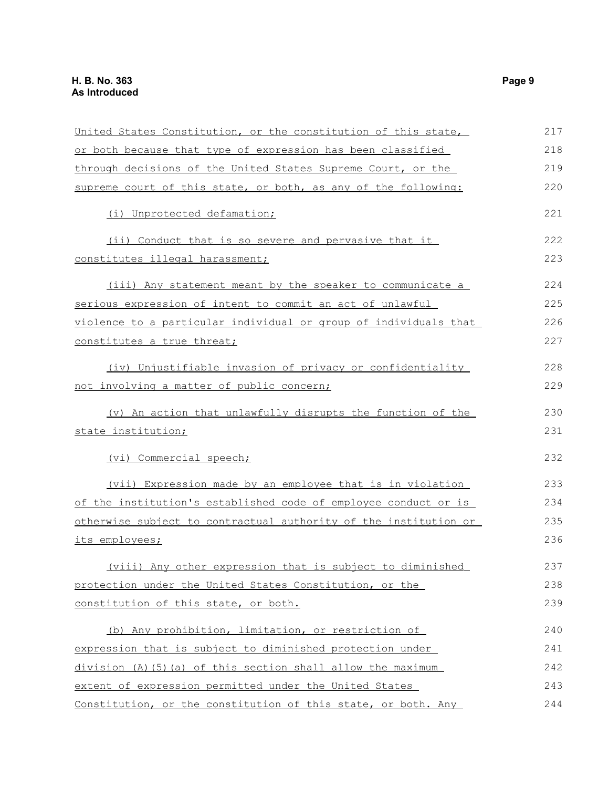| United States Constitution, or the constitution of this state,   | 217 |
|------------------------------------------------------------------|-----|
|                                                                  | 218 |
| or both because that type of expression has been classified      |     |
| through decisions of the United States Supreme Court, or the     | 219 |
| supreme court of this state, or both, as any of the following:   | 220 |
| (i) Unprotected defamation;                                      | 221 |
| (ii) Conduct that is so severe and pervasive that it             | 222 |
| constitutes illegal harassment;                                  | 223 |
| (iii) Any statement meant by the speaker to communicate a        | 224 |
| serious expression of intent to commit an act of unlawful        | 225 |
| violence to a particular individual or group of individuals that | 226 |
| constitutes a true threat;                                       | 227 |
| (iv) Unjustifiable invasion of privacy or confidentiality        | 228 |
| not involving a matter of public concern;                        | 229 |
| (v) An action that unlawfully disrupts the function of the       | 230 |
| state institution;                                               | 231 |
| (vi) Commercial speech;                                          | 232 |
| (vii) Expression made by an employee that is in violation        | 233 |
| of the institution's established code of employee conduct or is  | 234 |
| otherwise subject to contractual authority of the institution or | 235 |
| its employees;                                                   | 236 |
| (viii) Any other expression that is subject to diminished        | 237 |
| protection under the United States Constitution, or the          | 238 |
| constitution of this state, or both.                             | 239 |
| (b) Any prohibition, limitation, or restriction of               | 240 |
| expression that is subject to diminished protection under        | 241 |
| division (A) (5) (a) of this section shall allow the maximum     | 242 |
| extent of expression permitted under the United States           | 243 |
| Constitution, or the constitution of this state, or both. Any    | 244 |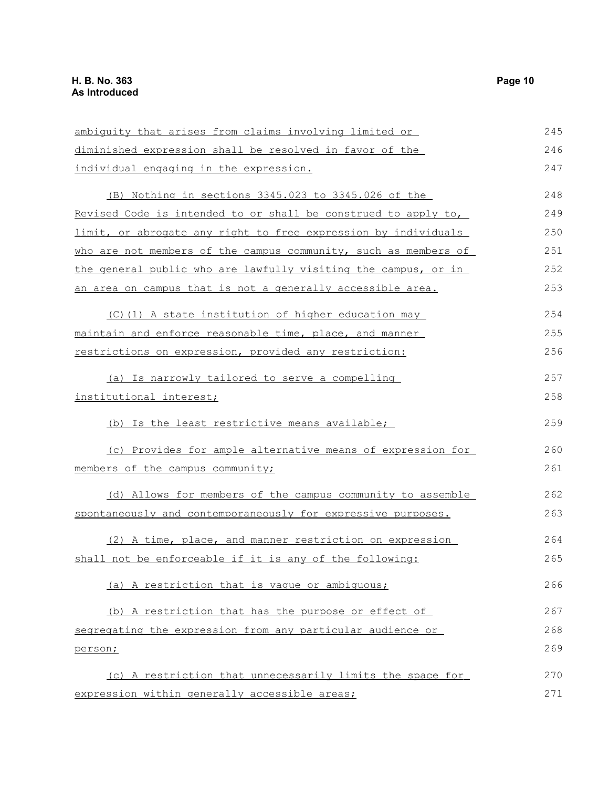ambiguity that arises from claims involving limited or diminished expression shall be resolved in favor of the individual engaging in the expression. (B) Nothing in sections 3345.023 to 3345.026 of the Revised Code is intended to or shall be construed to apply to, limit, or abrogate any right to free expression by individuals who are not members of the campus community, such as members of the general public who are lawfully visiting the campus, or in an area on campus that is not a generally accessible area. (C)(1) A state institution of higher education may maintain and enforce reasonable time, place, and manner restrictions on expression, provided any restriction: (a) Is narrowly tailored to serve a compelling institutional interest; (b) Is the least restrictive means available; (c) Provides for ample alternative means of expression for members of the campus community; (d) Allows for members of the campus community to assemble spontaneously and contemporaneously for expressive purposes. (2) A time, place, and manner restriction on expression shall not be enforceable if it is any of the following: (a) A restriction that is vague or ambiguous; (b) A restriction that has the purpose or effect of segregating the expression from any particular audience or person; (c) A restriction that unnecessarily limits the space for expression within generally accessible areas; 245 246 247 248 249 250 251 252 253 254 255 256 257 258 259 260 261 262 263 264 265 266 267 268 269 270 271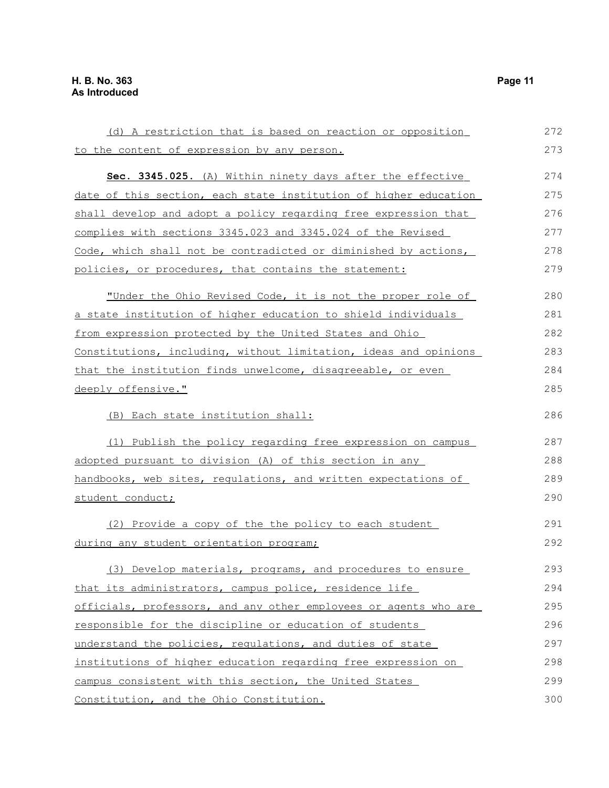(d) A restriction that is based on reaction or opposition to the content of expression by any person. **Sec. 3345.025.** (A) Within ninety days after the effective date of this section, each state institution of higher education shall develop and adopt a policy regarding free expression that complies with sections 3345.023 and 3345.024 of the Revised Code, which shall not be contradicted or diminished by actions, policies, or procedures, that contains the statement: "Under the Ohio Revised Code, it is not the proper role of a state institution of higher education to shield individuals from expression protected by the United States and Ohio Constitutions, including, without limitation, ideas and opinions that the institution finds unwelcome, disagreeable, or even deeply offensive." (B) Each state institution shall: (1) Publish the policy regarding free expression on campus adopted pursuant to division (A) of this section in any handbooks, web sites, regulations, and written expectations of student conduct; (2) Provide a copy of the the policy to each student during any student orientation program; (3) Develop materials, programs, and procedures to ensure that its administrators, campus police, residence life officials, professors, and any other employees or agents who are responsible for the discipline or education of students understand the policies, regulations, and duties of state institutions of higher education regarding free expression on campus consistent with this section, the United States Constitution, and the Ohio Constitution. 272 273 274 275 276 277 278 279 280 281 282 283 284 285 286 287 288 289 290 291 292 293 294 295 296 297 298 299 300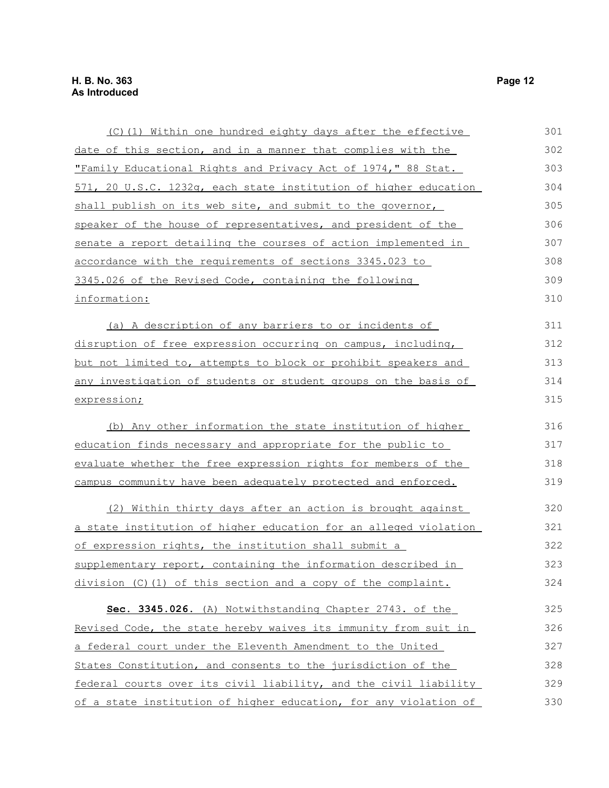| (C)(1) Within one hundred eighty days after the effective             | 301 |
|-----------------------------------------------------------------------|-----|
| date of this section, and in a manner that complies with the          | 302 |
| "Family Educational Rights and Privacy Act of 1974," 88 Stat.         | 303 |
| 571, 20 U.S.C. 1232q, each state institution of higher education      | 304 |
| shall publish on its web site, and submit to the governor,            | 305 |
| speaker of the house of representatives, and president of the         | 306 |
| <u>senate a report detailing the courses of action implemented in</u> | 307 |
| accordance with the requirements of sections 3345.023 to              | 308 |
| 3345.026 of the Revised Code, containing the following                | 309 |
| information:                                                          | 310 |
| (a) A description of any barriers to or incidents of                  | 311 |
| disruption of free expression occurring on campus, including,         | 312 |
| but not limited to, attempts to block or prohibit speakers and        | 313 |
| any investigation of students or student groups on the basis of       | 314 |
| expression;                                                           | 315 |
| (b) Any other information the state institution of higher             | 316 |
| education finds necessary and appropriate for the public to           | 317 |
| evaluate whether the free expression rights for members of the        | 318 |
| campus community have been adequately protected and enforced.         | 319 |
| (2) Within thirty days after an action is brought against             | 320 |
| a state institution of higher education for an alleged violation      | 321 |
| of expression rights, the institution shall submit a                  | 322 |
| supplementary report, containing the information described in         | 323 |
| division (C)(1) of this section and a copy of the complaint.          | 324 |
| Sec. 3345.026. (A) Notwithstanding Chapter 2743. of the               | 325 |
| Revised Code, the state hereby waives its immunity from suit in       | 326 |
| a federal court under the Eleventh Amendment to the United            | 327 |
| States Constitution, and consents to the jurisdiction of the          | 328 |
| federal courts over its civil liability, and the civil liability      | 329 |
| of a state institution of higher education, for any violation of      | 330 |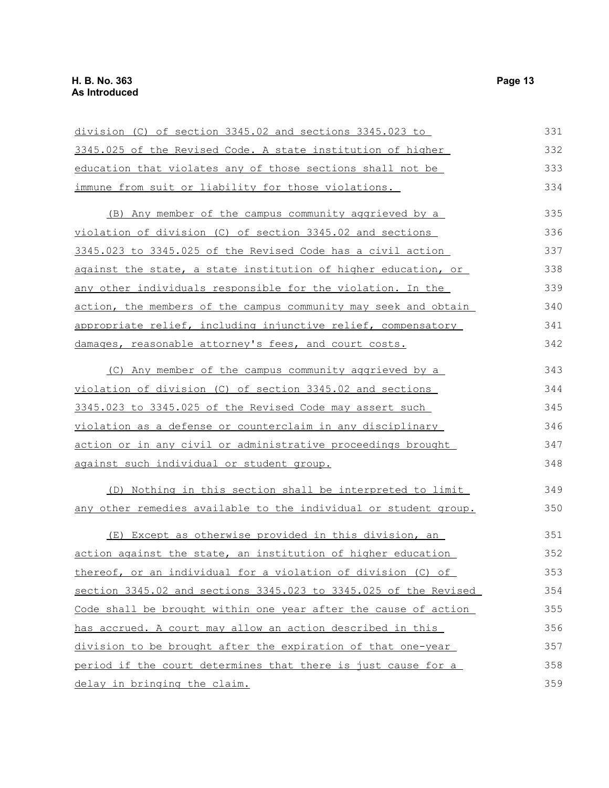| division (C) of section 3345.02 and sections 3345.023 to                | 331 |
|-------------------------------------------------------------------------|-----|
| 3345.025 of the Revised Code. A state institution of higher             | 332 |
| education that violates any of those sections shall not be              | 333 |
| immune from suit or liability for those violations.                     | 334 |
| (B) Any member of the campus community aggrieved by a                   | 335 |
| violation of division (C) of section 3345.02 and sections               | 336 |
| 3345.023 to 3345.025 of the Revised Code has a civil action             | 337 |
| against the state, a state institution of higher education, or          | 338 |
| any other individuals responsible for the violation. In the             | 339 |
| action, the members of the campus community may seek and obtain         | 340 |
| appropriate relief, including injunctive relief, compensatory           | 341 |
| damages, reasonable attorney's fees, and court costs.                   | 342 |
| (C) Any member of the campus community aggrieved by a                   | 343 |
| violation of division (C) of section 3345.02 and sections               | 344 |
| 3345.023 to 3345.025 of the Revised Code may assert such                | 345 |
| violation as a defense or counterclaim in any disciplinary              | 346 |
| action or in any civil or administrative proceedings brought            | 347 |
| against such individual or student group.                               | 348 |
| (D) Nothing in this section shall be interpreted to limit               | 349 |
| <u>any other remedies available to the individual or student group.</u> | 350 |
| (E) Except as otherwise provided in this division, an                   | 351 |
| action against the state, an institution of higher education            | 352 |
| thereof, or an individual for a violation of division (C)<br><u>of</u>  | 353 |
| section 3345.02 and sections 3345.023 to 3345.025 of the Revised        | 354 |
| Code shall be brought within one year after the cause of action         | 355 |
| has accrued. A court may allow an action described in this              | 356 |
| division to be brought after the expiration of that one-year            | 357 |
| period if the court determines that there is just cause for a           | 358 |
| delay in bringing the claim.                                            | 359 |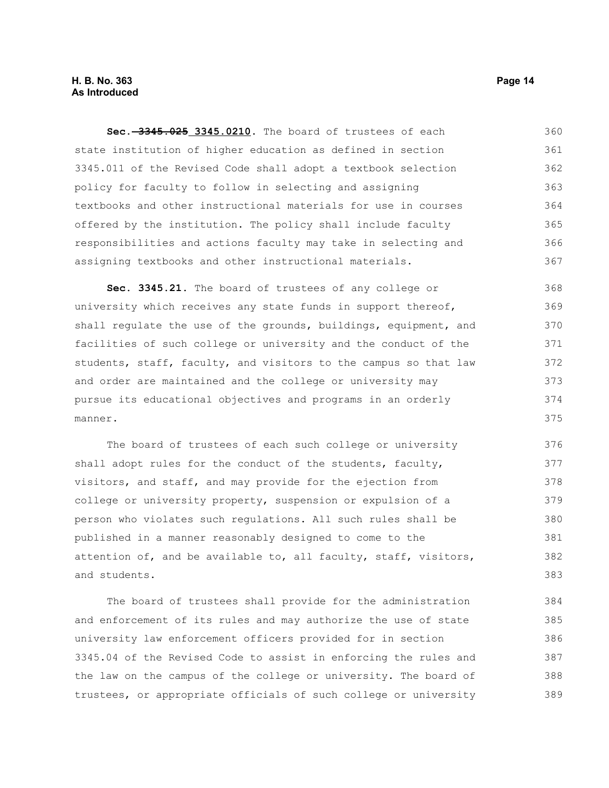**Sec. 3345.025 3345.0210.** The board of trustees of each state institution of higher education as defined in section 3345.011 of the Revised Code shall adopt a textbook selection policy for faculty to follow in selecting and assigning textbooks and other instructional materials for use in courses offered by the institution. The policy shall include faculty responsibilities and actions faculty may take in selecting and assigning textbooks and other instructional materials. 360 361 362 363 364 365 366 367

**Sec. 3345.21.** The board of trustees of any college or university which receives any state funds in support thereof, shall regulate the use of the grounds, buildings, equipment, and facilities of such college or university and the conduct of the students, staff, faculty, and visitors to the campus so that law and order are maintained and the college or university may pursue its educational objectives and programs in an orderly manner. 368 369 370 371 372 373 374 375

The board of trustees of each such college or university shall adopt rules for the conduct of the students, faculty, visitors, and staff, and may provide for the ejection from college or university property, suspension or expulsion of a person who violates such regulations. All such rules shall be published in a manner reasonably designed to come to the attention of, and be available to, all faculty, staff, visitors, and students. 376 377 378 379 380 381 382 383

The board of trustees shall provide for the administration and enforcement of its rules and may authorize the use of state university law enforcement officers provided for in section 3345.04 of the Revised Code to assist in enforcing the rules and the law on the campus of the college or university. The board of trustees, or appropriate officials of such college or university 384 385 386 387 388 389